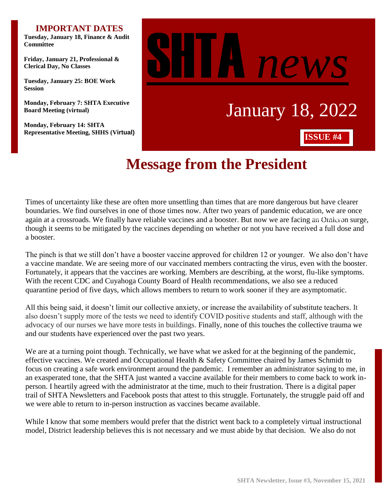#### **IMPORTANT DATES**

**Tuesday, January 18, Finance & Audit Committee**

**Friday, January 21, Professional & Clerical Day, No Classes**

**Tuesday, January 25: BOE Work Session**

**Monday, February 7: SHTA Executive Board Meeting (virtual)**

**Monday, February 14: SHTA Representative Meeting, SHHS (Virtual)**



# **Message from the President**

Times of uncertainty like these are often more unsettling than times that are more dangerous but have clearer boundaries. We find ourselves in one of those times now. After two years of pandemic education, we are once again at a crossroads. We finally have reliable vaccines and a booster. But now we are facing an Omicron surge, though it seems to be mitigated by the vaccines depending on whether or not you have received a full dose and a booster.

The pinch is that we still don't have a booster vaccine approved for children 12 or younger. We also don't have a vaccine mandate. We are seeing more of our vaccinated members contracting the virus, even with the booster. Fortunately, it appears that the vaccines are working. Members are describing, at the worst, flu-like symptoms. With the recent CDC and Cuyahoga County Board of Health recommendations, we also see a reduced quarantine period of five days, which allows members to return to work sooner if they are asymptomatic.

All this being said, it doesn't limit our collective anxiety, or increase the availability of substitute teachers. It also doesn't supply more of the tests we need to identify COVID positive students and staff, although with the advocacy of our nurses we have more tests in buildings. Finally, none of this touches the collective trauma we and our students have experienced over the past two years.

We are at a turning point though. Technically, we have what we asked for at the beginning of the pandemic, effective vaccines. We created and Occupational Health & Safety Committee chaired by James Schmidt to focus on creating a safe work environment around the pandemic. I remember an administrator saying to me, in an exasperated tone, that the SHTA just wanted a vaccine available for their members to come back to work inperson. I heartily agreed with the administrator at the time, much to their frustration. There is a digital paper trail of SHTA Newsletters and Facebook posts that attest to this struggle. Fortunately, the struggle paid off and we were able to return to in-person instruction as vaccines became available.

While I know that some members would prefer that the district went back to a completely virtual instructional model, District leadership believes this is not necessary and we must abide by that decision. We also do not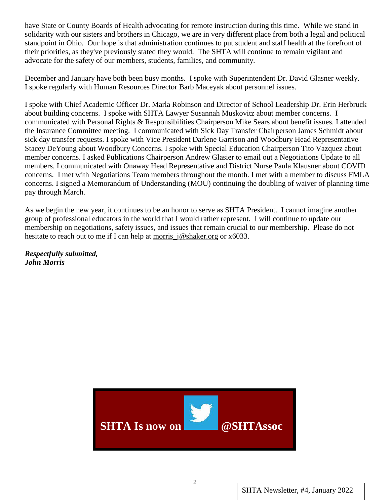have State or County Boards of Health advocating for remote instruction during this time. While we stand in solidarity with our sisters and brothers in Chicago, we are in very different place from both a legal and political standpoint in Ohio. Our hope is that administration continues to put student and staff health at the forefront of their priorities, as they've previously stated they would. The SHTA will continue to remain vigilant and advocate for the safety of our members, students, families, and community.

December and January have both been busy months. I spoke with Superintendent Dr. David Glasner weekly. I spoke regularly with Human Resources Director Barb Maceyak about personnel issues.

I spoke with Chief Academic Officer Dr. Marla Robinson and Director of School Leadership Dr. Erin Herbruck about building concerns. I spoke with SHTA Lawyer Susannah Muskovitz about member concerns. I communicated with Personal Rights & Responsibilities Chairperson Mike Sears about benefit issues. I attended the Insurance Committee meeting. I communicated with Sick Day Transfer Chairperson James Schmidt about sick day transfer requests. I spoke with Vice President Darlene Garrison and Woodbury Head Representative Stacey DeYoung about Woodbury Concerns. I spoke with Special Education Chairperson Tito Vazquez about member concerns. I asked Publications Chairperson Andrew Glasier to email out a Negotiations Update to all members. I communicated with Onaway Head Representative and District Nurse Paula Klausner about COVID concerns. I met with Negotiations Team members throughout the month. I met with a member to discuss FMLA concerns. I signed a Memorandum of Understanding (MOU) continuing the doubling of waiver of planning time pay through March.

As we begin the new year, it continues to be an honor to serve as SHTA President. I cannot imagine another group of professional educators in the world that I would rather represent. I will continue to update our membership on negotiations, safety issues, and issues that remain crucial to our membership. Please do not hesitate to reach out to me if I can help at morris  $j@shaker.org$  or x6033.

*Respectfully submitted, John Morris*

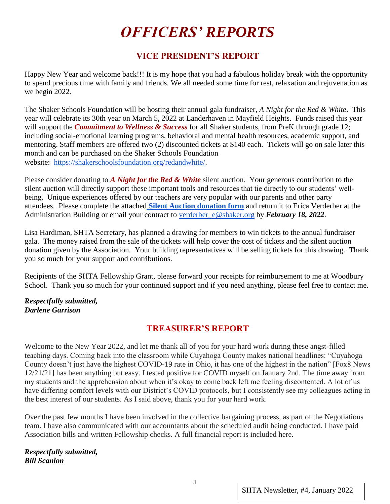# *OFFICERS' REPORTS*

# **VICE PRESIDENT'S REPORT**

Happy New Year and welcome back!!! It is my hope that you had a fabulous holiday break with the opportunity to spend precious time with family and friends. We all needed some time for rest, relaxation and rejuvenation as we begin 2022.

The Shaker Schools Foundation will be hosting their annual gala fundraiser, *A Night for the Red & White*. This year will celebrate its 30th year on March 5, 2022 at Landerhaven in Mayfield Heights. Funds raised this year will support the *Commitment to Wellness & Success* for all Shaker students, from PreK through grade 12; including social-emotional learning programs, behavioral and mental health resources, academic support, and mentoring. Staff members are offered two (2) discounted tickets at \$140 each. Tickets will go on sale later this month and can be purchased on the Shaker Schools Foundation website: [https://shakerschoolsfoundation.org/redandwhite/.](https://shakerschoolsfoundation.org/redandwhite/)

Please consider donating to *A Night for the Red & White* silent auction. Your generous contribution to the silent auction will directly support these important tools and resources that tie directly to our students' wellbeing. Unique experiences offered by our teachers are very popular with our parents and other party attendees. Please complete the attached **[Silent Auction donation form](https://drive.google.com/file/d/1URKcRz50tXK3_b2LImwT32xyDPeQQTtz/view?usp=sharing)** and return it to Erica Verderber at the Administration Building or email your contract to verderber\_e@shaker.org by *February 18, 2022*.

Lisa Hardiman, SHTA Secretary, has planned a drawing for members to win tickets to the annual fundraiser gala. The money raised from the sale of the tickets will help cover the cost of tickets and the silent auction donation given by the Association. Your building representatives will be selling tickets for this drawing. Thank you so much for your support and contributions.

Recipients of the SHTA Fellowship Grant, please forward your receipts for reimbursement to me at Woodbury School. Thank you so much for your continued support and if you need anything, please feel free to contact me.

#### *Respectfully submitted, Darlene Garrison*

# **TREASURER'S REPORT**

Welcome to the New Year 2022, and let me thank all of you for your hard work during these angst-filled teaching days. Coming back into the classroom while Cuyahoga County makes national headlines: "Cuyahoga County doesn't just have the highest COVID-19 rate in Ohio, it has one of the highest in the nation" [Fox8 News 12/21/21] has been anything but easy. I tested positive for COVID myself on January 2nd. The time away from my students and the apprehension about when it's okay to come back left me feeling discontented. A lot of us have differing comfort levels with our District's COVID protocols, but I consistently see my colleagues acting in the best interest of our students. As I said above, thank you for your hard work.

Over the past few months I have been involved in the collective bargaining process, as part of the Negotiations team. I have also communicated with our accountants about the scheduled audit being conducted. I have paid Association bills and written Fellowship checks. A full financial report is included here.

*Respectfully submitted, Bill Scanlon*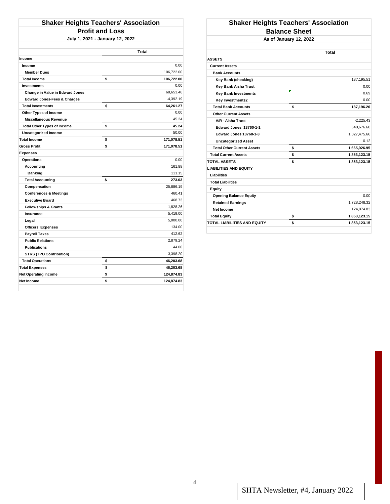| <b>Shaker Heights Teachers' Association</b> |                        |             |  |  |
|---------------------------------------------|------------------------|-------------|--|--|
|                                             | <b>Profit and Loss</b> |             |  |  |
| July 1, 2021 - January 12, 2022             |                        |             |  |  |
|                                             |                        |             |  |  |
|                                             |                        | Total       |  |  |
| <b>Income</b>                               |                        |             |  |  |
| Income                                      |                        | 0.00        |  |  |
| <b>Member Dues</b>                          |                        | 106,722.00  |  |  |
| <b>Total Income</b>                         | \$                     | 106,722.00  |  |  |
| <b>Investments</b>                          |                        | 0.00        |  |  |
| <b>Change in Value in Edward Jones</b>      |                        | 68,653.46   |  |  |
| <b>Edward Jones-Fees &amp; Charges</b>      |                        | $-4,392.19$ |  |  |
| <b>Total Investments</b>                    | \$                     | 64,261.27   |  |  |
| Other Types of Income                       |                        | 0.00        |  |  |
| <b>Miscellaneous Revenue</b>                |                        | 45.24       |  |  |
| <b>Total Other Types of Income</b>          | \$                     | 45.24       |  |  |
| Uncategorized Income                        |                        | 50.00       |  |  |
| <b>Total Income</b>                         | \$                     | 171,078.51  |  |  |
| <b>Gross Profit</b>                         | \$                     | 171,078.51  |  |  |
| <b>Expenses</b>                             |                        |             |  |  |
| <b>Operations</b>                           |                        | 0.00        |  |  |
| <b>Accounting</b>                           |                        | 161.88      |  |  |
| <b>Banking</b>                              |                        | 111.15      |  |  |
| <b>Total Accounting</b>                     | \$                     | 273.03      |  |  |
| Compensation                                |                        | 25.886.19   |  |  |
| <b>Conferences &amp; Meetings</b>           |                        | 460.41      |  |  |
| <b>Executive Board</b>                      |                        | 468.73      |  |  |
| <b>Fellowships &amp; Grants</b>             |                        | 1,828.26    |  |  |
| <b>Insurance</b>                            |                        | 5,419.00    |  |  |
| Legal                                       |                        | 5,000.00    |  |  |
| <b>Officers' Expenses</b>                   |                        | 134.00      |  |  |
| <b>Payroll Taxes</b>                        |                        | 412.62      |  |  |
| <b>Public Relations</b>                     |                        | 2,879.24    |  |  |
| <b>Publications</b>                         |                        | 44.00       |  |  |
| <b>STRS (TPO Contribution)</b>              |                        | 3,398.20    |  |  |
| <b>Total Operations</b>                     | \$                     | 46,203.68   |  |  |
| <b>Total Expenses</b>                       | \$                     | 46,203.68   |  |  |
| <b>Net Operating Income</b>                 | \$                     | 124,874.83  |  |  |
| <b>Net Income</b>                           | \$                     | 124,874.83  |  |  |
|                                             |                        |             |  |  |

#### **Shaker Heights Teachers' Association Balance Sheet As of January 12, 2022**

|                                     |    | Total        |
|-------------------------------------|----|--------------|
| <b>ASSETS</b>                       |    |              |
| <b>Current Assets</b>               |    |              |
| <b>Bank Accounts</b>                |    |              |
| Key Bank (checking)                 |    | 187,195.51   |
| Key Bank Aisha Trust                |    | 0.00         |
| <b>Key Bank Investments</b>         |    | 0.69         |
| Key Investments2                    |    | 0.00         |
| <b>Total Bank Accounts</b>          | \$ | 187,196.20   |
| <b>Other Current Assets</b>         |    |              |
| A/R - Aisha Trust                   |    | $-2.225.43$  |
| <b>Edward Jones 13760-1-1</b>       |    | 640,676.60   |
| Edward Jones 13768-1-3              |    | 1,027,475.66 |
| <b>Uncategorized Asset</b>          |    | 0.12         |
| <b>Total Other Current Assets</b>   | \$ | 1,665,926.95 |
| <b>Total Current Assets</b>         | \$ | 1,853,123.15 |
| <b>TOTAL ASSETS</b>                 | \$ | 1,853,123.15 |
| <b>LIABILITIES AND EQUITY</b>       |    |              |
| <b>Liabilities</b>                  |    |              |
| <b>Total Liabilities</b>            |    |              |
| Equity                              |    |              |
| <b>Opening Balance Equity</b>       |    | 0.00         |
| <b>Retained Earnings</b>            |    | 1,728,248.32 |
| Net Income                          |    | 124.874.83   |
| <b>Total Equity</b>                 | \$ | 1,853,123.15 |
| <b>TOTAL LIABILITIES AND EQUITY</b> | Ŝ  | 1,853,123.15 |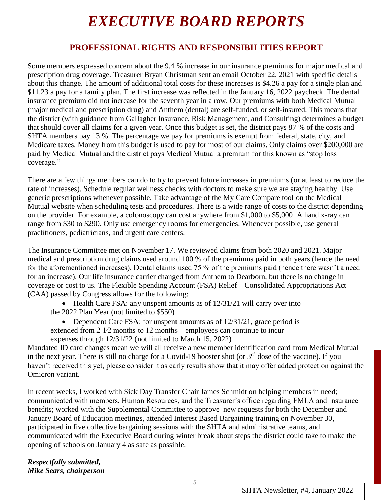# *EXECUTIVE BOARD REPORTS*

# **PROFESSIONAL RIGHTS AND RESPONSIBILITIES REPORT**

Some members expressed concern about the 9.4 % increase in our insurance premiums for major medical and prescription drug coverage. Treasurer Bryan Christman sent an email October 22, 2021 with specific details about this change. The amount of additional total costs for these increases is \$4.26 a pay for a single plan and \$11.23 a pay for a family plan. The first increase was reflected in the January 16, 2022 paycheck. The dental insurance premium did not increase for the seventh year in a row. Our premiums with both Medical Mutual (major medical and prescription drug) and Anthem (dental) are self-funded, or self-insured. This means that the district (with guidance from Gallagher Insurance, Risk Management, and Consulting) determines a budget that should cover all claims for a given year. Once this budget is set, the district pays 87 % of the costs and SHTA members pay 13 %. The percentage we pay for premiums is exempt from federal, state, city, and Medicare taxes. Money from this budget is used to pay for most of our claims. Only claims over \$200,000 are paid by Medical Mutual and the district pays Medical Mutual a premium for this known as "stop loss coverage."

There are a few things members can do to try to prevent future increases in premiums (or at least to reduce the rate of increases). Schedule regular wellness checks with doctors to make sure we are staying healthy. Use generic prescriptions whenever possible. Take advantage of the My Care Compare tool on the Medical Mutual website when scheduling tests and procedures. There is a wide range of costs to the district depending on the provider. For example, a colonoscopy can cost anywhere from \$1,000 to \$5,000. A hand x-ray can range from \$30 to \$290. Only use emergency rooms for emergencies. Whenever possible, use general practitioners, pediatricians, and urgent care centers.

The Insurance Committee met on November 17. We reviewed claims from both 2020 and 2021. Major medical and prescription drug claims used around 100 % of the premiums paid in both years (hence the need for the aforementioned increases). Dental claims used 75 % of the premiums paid (hence there wasn't a need for an increase). Our life insurance carrier changed from Anthem to Dearborn, but there is no change in coverage or cost to us. The Flexible Spending Account (FSA) Relief – Consolidated Appropriations Act (CAA) passed by Congress allows for the following:

• Health Care FSA: any unspent amounts as of  $12/31/21$  will carry over into the 2022 Plan Year (not limited to \$550)

• Dependent Care FSA: for unspent amounts as of 12/31/21, grace period is extended from  $2 \frac{1}{2}$  months to 12 months – employees can continue to incur expenses through 12/31/22 (not limited to March 15, 2022)

Mandated ID card changes mean we will all receive a new member identification card from Medical Mutual in the next year. There is still no charge for a Covid-19 booster shot (or 3<sup>rd</sup> dose of the vaccine). If you haven't received this yet, please consider it as early results show that it may offer added protection against the Omicron variant.

In recent weeks, I worked with Sick Day Transfer Chair James Schmidt on helping members in need; communicated with members, Human Resources, and the Treasurer's office regarding FMLA and insurance benefits; worked with the Supplemental Committee to approve new requests for both the December and January Board of Education meetings, attended Interest Based Bargaining training on November 30, participated in five collective bargaining sessions with the SHTA and administrative teams, and communicated with the Executive Board during winter break about steps the district could take to make the opening of schools on January 4 as safe as possible.

*Respectfully submitted, Mike Sears, chairperson*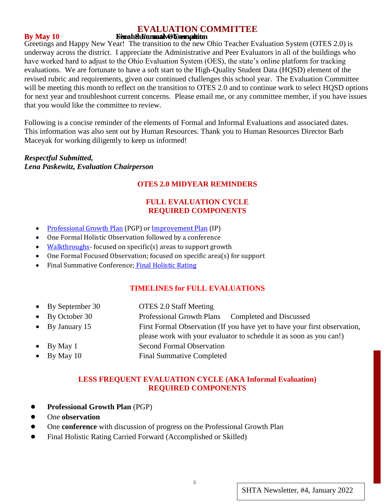#### **EVALUATION COMMITTEE**

#### **By May 10 Second Formative Complete Second Figure 3**

Greetings and Happy New Year! The transition to the new Ohio Teacher Evaluation System (OTES 2.0) is underway across the district. I appreciate the Administrative and Peer Evaluators in all of the buildings who have worked hard to adjust to the Ohio Evaluation System (OES), the state's online platform for tracking evaluations. We are fortunate to have a soft start to the High-Quality Student Data (HQSD) element of the revised rubric and requirements, given our continued challenges this school year. The Evaluation Committee will be meeting this month to reflect on the transition to OTES 2.0 and to continue work to select HQSD options for next year and troubleshoot current concerns. Please email me, or any committee member, if you have issues that you would like the committee to review.

Following is a concise reminder of the elements of Formal and Informal Evaluations and associated dates. This information was also sent out by Human Resources. Thank you to Human Resources Director Barb Maceyak for working diligently to keep us informed!

#### *Respectful Submitted, Lena Paskewitz, Evaluation Chairperson*

#### **OTES 2.0 MIDYEAR REMINDERS**

#### **FULL EVALUATION CYCLE REQUIRED COMPONENTS**

- [Professional Growth Plan](http://education.ohio.gov/getattachment/Topics/Teaching/Educator-Evaluation-System/Ohio-s-Teacher-Evaluation-System/OTES-2-0/Professional-Growth-Plan.pdf.aspx?lang=en-US) (PGP) o[r Improvement Plan](http://education.ohio.gov/getattachment/Topics/Teaching/Educator-Evaluation-System/Ohio-s-Teacher-Evaluation-System/OTES-2-0/Improvement-Plan.pdf.aspx?lang=en-US) (IP)
- One Formal Holistic Observation followed by a conference
- [Walkthroughs-](http://education.ohio.gov/getattachment/Topics/Teaching/Educator-Evaluation-System/Ohio-s-Teacher-Evaluation-System/OTES-2-0/Walkthrough_Informal-Observation-Forms.pdf.aspx?lang=en-US)focused on specific(s) areas to support growth
- One Formal Focused Observation; focused on specific area(s) for support
- Final Summative Conference; [Final Holistic Rating](http://education.ohio.gov/getattachment/Topics/Teaching/Educator-Evaluation-System/Ohio-s-Teacher-Evaluation-System/OTES-2-0/Final-Holistic-Rating-Full-Evaluation.pdf.aspx?lang=en-US)

#### **TIMELINES for FULL EVALUATIONS**

- By September 30 OTES 2.0 Staff Meeting
- By October 30 Professional Growth Plans Completed and Discussed
- By January 15 First Formal Observation (If you have yet to have your first observation,
	- please work with your evaluator to schedule it as soon as you can!)
- By May 1 Second Formal Observation
- By May 10 Final Summative Completed

#### **LESS FREQUENT EVALUATION CYCLE (AKA Informal Evaluation) REQUIRED COMPONENTS**

- **Professional Growth Plan** (PGP)
- **One** observation
- One **conference** with discussion of progress on the Professional Growth Plan
- [Final Holistic Rating](http://education.ohio.gov/getattachment/Topics/Teaching/Educator-Evaluation-System/Ohio-s-Teacher-Evaluation-System/OTES-2-0/Final-Holistic-Rating-Carry-Forward.pdf.aspx?lang=en-US) Carried Forward (Accomplished or Skilled)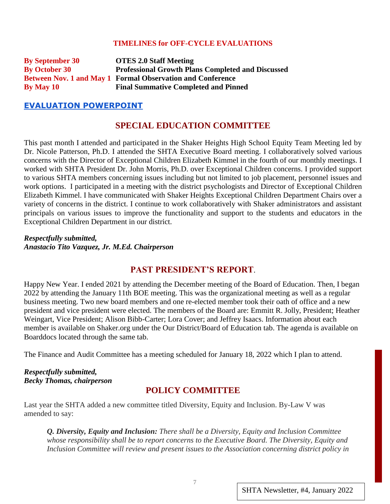#### **TIMELINES for OFF-CYCLE EVALUATIONS**

**By September 30 OTES 2.0 Staff Meeting By October 30 Professional Growth Plans Completed and Discussed Between Nov. 1 and May 1 Formal Observation and Conference By May 10 Final Summative Completed and Pinned**

#### **[EVALUATION POWERPOINT](https://docs.google.com/presentation/u/0/d/1wPm_xsDTMM6KvPoBJNRmiu57GkP1AyTQl51-iMB971Q/edit)**

#### **SPECIAL EDUCATION COMMITTEE**

This past month I attended and participated in the Shaker Heights High School Equity Team Meeting led by Dr. Nicole Patterson, Ph.D. I attended the SHTA Executive Board meeting. I collaboratively solved various concerns with the Director of Exceptional Children Elizabeth Kimmel in the fourth of our monthly meetings. I worked with SHTA President Dr. John Morris, Ph.D. over Exceptional Children concerns. I provided support to various SHTA members concerning issues including but not limited to job placement, personnel issues and work options. I participated in a meeting with the district psychologists and Director of Exceptional Children Elizabeth Kimmel. I have communicated with Shaker Heights Exceptional Children Department Chairs over a variety of concerns in the district. I continue to work collaboratively with Shaker administrators and assistant principals on various issues to improve the functionality and support to the students and educators in the Exceptional Children Department in our district.

*Respectfully submitted, Anastacio Tito Vazquez, Jr. M.Ed. Chairperson*

#### **PAST PRESIDENT'S REPORT**.

Happy New Year. I ended 2021 by attending the December meeting of the Board of Education. Then, I began 2022 by attending the January 11th BOE meeting. This was the organizational meeting as well as a regular business meeting. Two new board members and one re-elected member took their oath of office and a new president and vice president were elected. The members of the Board are: Emmitt R. Jolly, President; Heather Weingart, Vice President; Alison Bibb-Carter; Lora Cover; and Jeffrey Isaacs. Information about each member is available on Shaker.org under the Our District/Board of Education tab. The agenda is available on Boarddocs located through the same tab.

The Finance and Audit Committee has a meeting scheduled for January 18, 2022 which I plan to attend.

#### *Respectfully submitted, Becky Thomas, chairperson*

#### **POLICY COMMITTEE**

Last year the SHTA added a new committee titled Diversity, Equity and Inclusion. By-Law V was amended to say:

*Q. Diversity, Equity and Inclusion: There shall be a Diversity, Equity and Inclusion Committee whose responsibility shall be to report concerns to the Executive Board. The Diversity, Equity and Inclusion Committee will review and present issues to the Association concerning district policy in*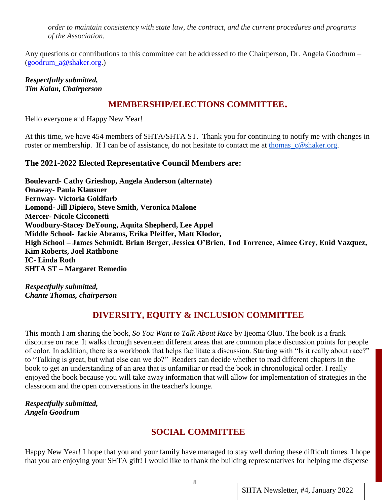*order to maintain consistency with state law, the contract, and the current procedures and programs of the Association.*

Any questions or contributions to this committee can be addressed to the Chairperson, Dr. Angela Goodrum – [\(goodrum\\_a@shaker.org.](mailto:goodrum_a@shaker.org))

*Respectfully submitted, Tim Kalan, Chairperson*

# **MEMBERSHIP/ELECTIONS COMMITTEE**.

Hello everyone and Happy New Year!

At this time, we have 454 members of SHTA/SHTA ST. Thank you for continuing to notify me with changes in roster or membership. If I can be of assistance, do not hesitate to contact me at [thomas\\_c@shaker.org.](mailto:thomas_c@shaker.org)

#### **The 2021-2022 Elected Representative Council Members are:**

**Boulevard- Cathy Grieshop, Angela Anderson (alternate) Onaway- Paula Klausner Fernway- Victoria Goldfarb Lomond- Jill Dipiero, Steve Smith, Veronica Malone Mercer- Nicole Cicconetti Woodbury-Stacey DeYoung, Aquita Shepherd, Lee Appel Middle School- Jackie Abrams, Erika Pfeiffer, Matt Klodor, High School – James Schmidt, Brian Berger, Jessica O'Brien, Tod Torrence, Aimee Grey, Enid Vazquez, Kim Roberts, Joel Rathbone IC- Linda Roth SHTA ST – Margaret Remedio**

*Respectfully submitted, Chante Thomas, chairperson*

# **DIVERSITY, EQUITY & INCLUSION COMMITTEE**

This month I am sharing the book, *So You Want to Talk About Race* by Ijeoma Oluo. The book is a frank discourse on race. It walks through seventeen different areas that are common place discussion points for people of color. In addition, there is a workbook that helps facilitate a discussion. Starting with "Is it really about race?" to "Talking is great, but what else can we do?" Readers can decide whether to read different chapters in the book to get an understanding of an area that is unfamiliar or read the book in chronological order. I really enjoyed the book because you will take away information that will allow for implementation of strategies in the classroom and the open conversations in the teacher's lounge.

*Respectfully submitted, Angela Goodrum*

# **SOCIAL COMMITTEE**

Happy New Year! I hope that you and your family have managed to stay well during these difficult times. I hope that you are enjoying your SHTA gift! I would like to thank the building representatives for helping me disperse

SHTA Newsletter, #4, January 2022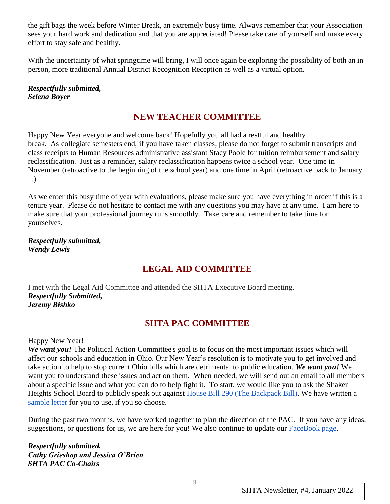the gift bags the week before Winter Break, an extremely busy time. Always remember that your Association sees your hard work and dedication and that you are appreciated! Please take care of yourself and make every effort to stay safe and healthy.

With the uncertainty of what springtime will bring, I will once again be exploring the possibility of both an in person, more traditional Annual District Recognition Reception as well as a virtual option.

*Respectfully submitted, Selena Boyer*

# **NEW TEACHER COMMITTEE**

Happy New Year everyone and welcome back! Hopefully you all had a restful and healthy break. As collegiate semesters end, if you have taken classes, please do not forget to submit transcripts and class receipts to Human Resources administrative assistant Stacy Poole for tuition reimbursement and salary reclassification. Just as a reminder, salary reclassification happens twice a school year. One time in November (retroactive to the beginning of the school year) and one time in April (retroactive back to January 1.)

As we enter this busy time of year with evaluations, please make sure you have everything in order if this is a tenure year. Please do not hesitate to contact me with any questions you may have at any time. I am here to make sure that your professional journey runs smoothly. Take care and remember to take time for yourselves.

*Respectfully submitted, Wendy Lewis*

# **LEGAL AID COMMITTEE**

I met with the Legal Aid Committee and attended the SHTA Executive Board meeting. *Respectfully Submitted, Jeremy Bishko*

# **SHTA PAC COMMITTEE**

Happy New Year!

*We want you!* The Political Action Committee's goal is to focus on the most important issues which will affect our schools and education in Ohio. Our New Year's resolution is to motivate you to get involved and take action to help to stop current Ohio bills which are detrimental to public education. *We want you!* We want you to understand these issues and act on them. When needed, we will send out an email to all members about a specific issue and what you can do to help fight it. To start, we would like you to ask the Shaker Heights School Board to publicly speak out against [House Bill 290 \(The Backpack Bill\).](https://ohiocapitaljournal.com/2021/05/25/hb-290-a-backpack-full-of-empty-promises/) We have written a [sample letter](https://docs.google.com/document/u/0/d/1womqYHISSf_gCc7Mh5yuSP2UgM8xW9-UdkpGwKEXjxI/edit) for you to use, if you so choose.

During the past two months, we have worked together to plan the direction of the PAC. If you have any ideas, suggestions, or questions for us, we are here for you! We also continue to update our **FaceBook** page.

*Respectfully submitted, Cathy Grieshop and Jessica O'Brien SHTA PAC Co-Chairs* 

SHTA Newsletter, #4, January 2022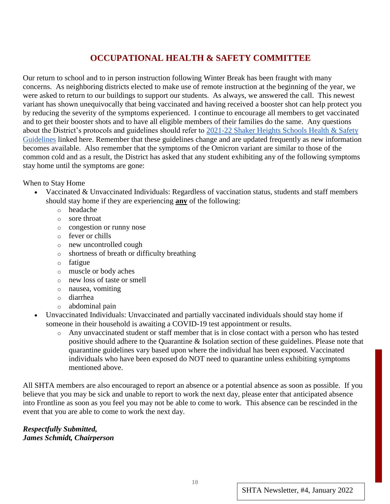# **OCCUPATIONAL HEALTH & SAFETY COMMITTEE**

Our return to school and to in person instruction following Winter Break has been fraught with many concerns. As neighboring districts elected to make use of remote instruction at the beginning of the year, we were asked to return to our buildings to support our students. As always, we answered the call. This newest variant has shown unequivocally that being vaccinated and having received a booster shot can help protect you by reducing the severity of the symptoms experienced. I continue to encourage all members to get vaccinated and to get their booster shots and to have all eligible members of their families do the same. Any questions about the District's protocols and guidelines should refer to [2021-22 Shaker Heights Schools Health & Safety](https://www.shaker.org/21-22Guidelines.aspx)  [Guidelines](https://www.shaker.org/21-22Guidelines.aspx) linked here. Remember that these guidelines change and are updated frequently as new information becomes available. Also remember that the symptoms of the Omicron variant are similar to those of the common cold and as a result, the District has asked that any student exhibiting any of the following symptoms stay home until the symptoms are gone:

When to Stay Home

- Vaccinated & Unvaccinated Individuals: Regardless of vaccination status, students and staff members should stay home if they are experiencing **any** of the following:
	- o headache
	- o sore throat
	- o congestion or runny nose
	- o fever or chills
	- o new uncontrolled cough
	- o shortness of breath or difficulty breathing
	- o fatigue
	- o muscle or body aches
	- o new loss of taste or smell
	- o nausea, vomiting
	- o diarrhea
	- o abdominal pain
- Unvaccinated Individuals: Unvaccinated and partially vaccinated individuals should stay home if someone in their household is awaiting a COVID-19 test appointment or results.
	- o Any unvaccinated student or staff member that is in close contact with a person who has tested positive should adhere to the Quarantine & Isolation section of these guidelines. Please note that quarantine guidelines vary based upon where the individual has been exposed. Vaccinated individuals who have been exposed do NOT need to quarantine unless exhibiting symptoms mentioned above.

All SHTA members are also encouraged to report an absence or a potential absence as soon as possible. If you believe that you may be sick and unable to report to work the next day, please enter that anticipated absence into Frontline as soon as you feel you may not be able to come to work. This absence can be rescinded in the event that you are able to come to work the next day.

*Respectfully Submitted, James Schmidt, Chairperson*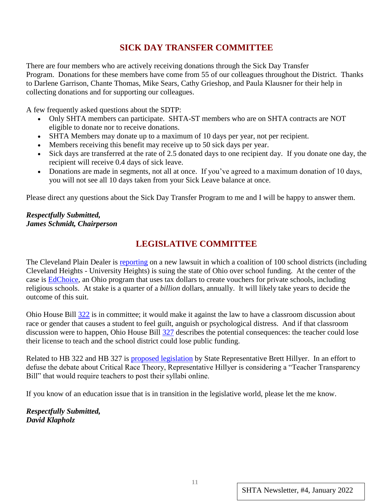# **SICK DAY TRANSFER COMMITTEE**

There are four members who are actively receiving donations through the Sick Day Transfer Program. Donations for these members have come from 55 of our colleagues throughout the District. Thanks to Darlene Garrison, Chante Thomas, Mike Sears, Cathy Grieshop, and Paula Klausner for their help in collecting donations and for supporting our colleagues.

A few frequently asked questions about the SDTP:

- Only SHTA members can participate. SHTA-ST members who are on SHTA contracts are NOT eligible to donate nor to receive donations.
- SHTA Members may donate up to a maximum of 10 days per year, not per recipient.
- Members receiving this benefit may receive up to 50 sick days per year.
- Sick days are transferred at the rate of 2.5 donated days to one recipient day. If you donate one day, the recipient will receive 0.4 days of sick leave.
- Donations are made in segments, not all at once. If you've agreed to a maximum donation of 10 days, you will not see all 10 days taken from your Sick Leave balance at once.

Please direct any questions about the Sick Day Transfer Program to me and I will be happy to answer them.

#### *Respectfully Submitted, James Schmidt, Chairperson*

# **LEGISLATIVE COMMITTEE**

The Cleveland Plain Dealer is [reporting](https://www.cleveland.com/news/2022/01/100-school-districts-sue-ohio-over-private-school-vouchers-saying-they-unconstitutionally-take-money-from-public-ed.html) on a new lawsuit in which a coalition of 100 school districts (including Cleveland Heights - University Heights) is suing the state of Ohio over school funding. At the center of the case is [EdChoice,](https://education.ohio.gov/Topics/Other-Resources/Scholarships/EdChoice-Scholarship-Program) an Ohio program that uses tax dollars to create vouchers for private schools, including religious schools. At stake is a quarter of a *billion* dollars, annually. It will likely take years to decide the outcome of this suit.

Ohio House Bill [322](https://www.legislature.ohio.gov/legislation/legislation-summary?id=GA134-HB-322) is in committee; it would make it against the law to have a classroom discussion about race or gender that causes a student to feel guilt, anguish or psychological distress. And if that classroom discussion were to happen, Ohio House Bill [327](https://www.legislature.ohio.gov/legislation/legislation-summary?id=GA134-HB-327) describes the potential consequences: the teacher could lose their license to teach and the school district could lose public funding.

Related to HB 322 and HB 327 is [proposed legislation](https://www.dispatch.com/story/news/2022/01/03/ohio-republicans-want-teacher-curriculums-shared-online/9054152002/) by State Representative Brett Hillyer. In an effort to defuse the debate about Critical Race Theory, Representative Hillyer is considering a "Teacher Transparency Bill" that would require teachers to post their syllabi online.

If you know of an education issue that is in transition in the legislative world, please let the me know.

*Respectfully Submitted, David Klapholz*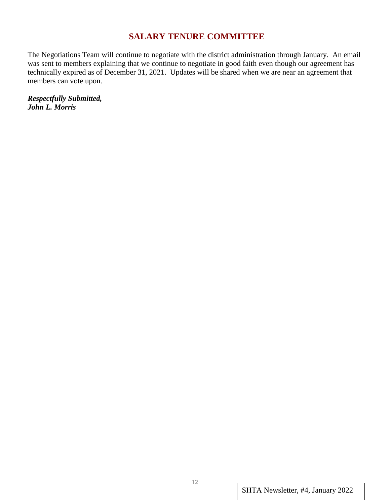# **SALARY TENURE COMMITTEE**

The Negotiations Team will continue to negotiate with the district administration through January. An email was sent to members explaining that we continue to negotiate in good faith even though our agreement has technically expired as of December 31, 2021. Updates will be shared when we are near an agreement that members can vote upon.

*Respectfully Submitted, John L. Morris*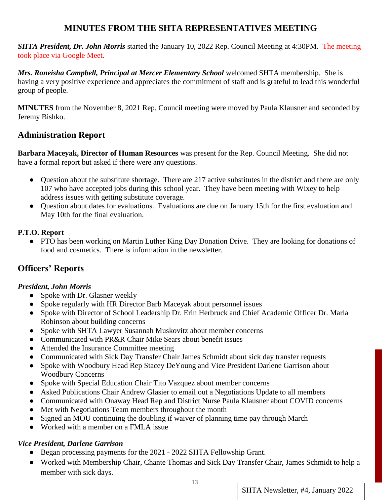# **MINUTES FROM THE SHTA REPRESENTATIVES MEETING**

*SHTA President, Dr. John Morris* started the January 10, 2022 Rep. Council Meeting at 4:30PM. The meeting took place via Google Meet.

*Mrs. Roneisha Campbell, Principal at Mercer Elementary School* welcomed SHTA membership. She is having a very positive experience and appreciates the commitment of staff and is grateful to lead this wonderful group of people.

**MINUTES** from the November 8, 2021 Rep. Council meeting were moved by Paula Klausner and seconded by Jeremy Bishko.

# **Administration Report**

**Barbara Maceyak, Director of Human Resources** was present for the Rep. Council Meeting. She did not have a formal report but asked if there were any questions.

- Question about the substitute shortage. There are 217 active substitutes in the district and there are only 107 who have accepted jobs during this school year. They have been meeting with Wixey to help address issues with getting substitute coverage.
- Question about dates for evaluations. Evaluations are due on January 15th for the first evaluation and May 10th for the final evaluation.

#### **P.T.O. Report**

● PTO has been working on Martin Luther King Day Donation Drive. They are looking for donations of food and cosmetics. There is information in the newsletter.

# **Officers' Reports**

#### *President, John Morris*

- Spoke with Dr. Glasner weekly
- Spoke regularly with HR Director Barb Maceyak about personnel issues
- Spoke with Director of School Leadership Dr. Erin Herbruck and Chief Academic Officer Dr. Marla Robinson about building concerns
- Spoke with SHTA Lawyer Susannah Muskovitz about member concerns
- Communicated with PR&R Chair Mike Sears about benefit issues
- Attended the Insurance Committee meeting
- Communicated with Sick Day Transfer Chair James Schmidt about sick day transfer requests
- Spoke with Woodbury Head Rep Stacey DeYoung and Vice President Darlene Garrison about Woodbury Concerns
- Spoke with Special Education Chair Tito Vazquez about member concerns
- Asked Publications Chair Andrew Glasier to email out a Negotiations Update to all members
- Communicated with Onaway Head Rep and District Nurse Paula Klausner about COVID concerns
- Met with Negotiations Team members throughout the month
- Signed an MOU continuing the doubling if waiver of planning time pay through March
- Worked with a member on a FMLA issue

# *Vice President, Darlene Garrison*

- Began processing payments for the 2021 2022 SHTA Fellowship Grant.
- Worked with Membership Chair, Chante Thomas and Sick Day Transfer Chair, James Schmidt to help a member with sick days.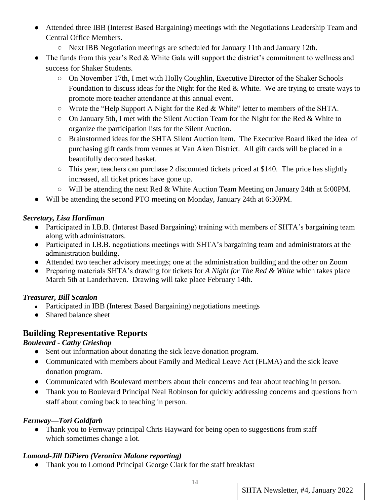- Attended three IBB (Interest Based Bargaining) meetings with the Negotiations Leadership Team and Central Office Members.
	- Next IBB Negotiation meetings are scheduled for January 11th and January 12th.
- The funds from this year's Red & White Gala will support the district's commitment to wellness and success for Shaker Students.
	- On November 17th, I met with Holly Coughlin, Executive Director of the Shaker Schools Foundation to discuss ideas for the Night for the Red & White. We are trying to create ways to promote more teacher attendance at this annual event.
	- Wrote the "Help Support A Night for the Red & White" letter to members of the SHTA.
	- On January 5th, I met with the Silent Auction Team for the Night for the Red & White to organize the participation lists for the Silent Auction.
	- Brainstormed ideas for the SHTA Silent Auction item. The Executive Board liked the idea of purchasing gift cards from venues at Van Aken District. All gift cards will be placed in a beautifully decorated basket.
	- This year, teachers can purchase 2 discounted tickets priced at \$140. The price has slightly increased, all ticket prices have gone up.
	- Will be attending the next Red & White Auction Team Meeting on January 24th at 5:00PM.
- Will be attending the second PTO meeting on Monday, January 24th at 6:30PM.

#### *Secretary, Lisa Hardiman*

- Participated in I.B.B. (Interest Based Bargaining) training with members of SHTA's bargaining team along with administrators.
- Participated in I.B.B. negotiations meetings with SHTA's bargaining team and administrators at the administration building.
- Attended two teacher advisory meetings; one at the administration building and the other on Zoom
- Preparing materials SHTA's drawing for tickets for *A Night for The Red & White* which takes place March 5th at Landerhaven. Drawing will take place February 14th.

#### *Treasurer, Bill Scanlon*

- Participated in IBB (Interest Based Bargaining) negotiations meetings
- Shared balance sheet

# **Building Representative Reports**

#### *Boulevar Boulevard - Cathy Grieshop*

- Sent out information about donating the sick leave donation program.
- Communicated with members about Family and Medical Leave Act (FLMA) and the sick leave donation program.
- Communicated with Boulevard members about their concerns and fear about teaching in person.
- Thank you to Boulevard Principal Neal Robinson for quickly addressing concerns and questions from staff about coming back to teaching in person.

#### *Fernway—Tori Goldfarb*

• Thank you to Fernway principal Chris Hayward for being open to suggestions from staff which sometimes change a lot.

# *Lomond-Jill DiPiero (Veronica Malone reporting)*

• Thank you to Lomond Principal George Clark for the staff breakfast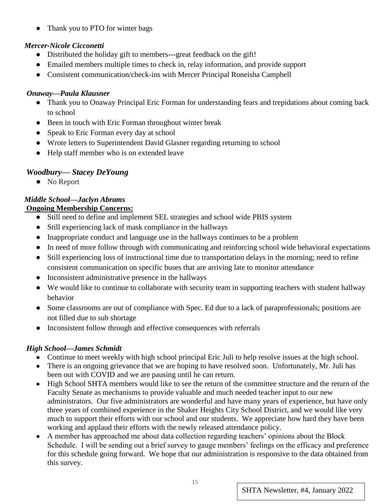• Thank you to PTO for winter bags

# *Mercer-Nicole Cicconetti*

- Distributed the holiday gift to members---great feedback on the gift!
- Emailed members multiple times to check in, relay information, and provide support
- Consistent communication/check-ins with Mercer Principal Roneisha Campbell

#### *Onaway—Paula Klausner*

- Thank you to Onaway Principal Eric Forman for understanding fears and trepidations about coming back to school
- Been in touch with Eric Forman throughout winter break
- Speak to Eric Forman every day at school
- Wrote letters to Superintendent David Glasner regarding returning to school
- Help staff member who is on extended leave

# *Woodbury— Stacey DeYoung*

● No Report

# *Middle School—Jaclyn Abrams*

#### **Ongoing Membership Concerns:**

- Still need to define and implement SEL strategies and school wide PBIS system
- Still experiencing lack of mask compliance in the hallways
- Inappropriate conduct and language use in the hallways continues to be a problem
- In need of more follow through with communicating and reinforcing school wide behavioral expectations
- Still experiencing loss of instructional time due to transportation delays in the morning; need to refine consistent communication on specific buses that are arriving late to monitor attendance
- Inconsistent administrative presence in the hallways
- We would like to continue to collaborate with security team in supporting teachers with student hallway behavior
- Some classrooms are out of compliance with Spec. Ed due to a lack of paraprofessionals; positions are not filled due to sub shortage
- Inconsistent follow through and effective consequences with referrals

# *High School—James Schmidt*

- Continue to meet weekly with high school principal Eric Juli to help resolve issues at the high school.
- There is an ongoing grievance that we are hoping to have resolved soon. Unfortunately, Mr. Juli has been out with COVID and we are pausing until he can return.
- High School SHTA members would like to see the return of the committee structure and the return of the Faculty Senate as mechanisms to provide valuable and much needed teacher input to our new administrators. Our five administrators are wonderful and have many years of experience, but have only three years of combined experience in the Shaker Heights City School District, and we would like very much to support their efforts with our school and our students. We appreciate how hard they have been working and applaud their efforts with the newly released attendance policy.
- A member has approached me about data collection regarding teachers' opinions about the Block Schedule. I will be sending out a brief survey to gauge members' feelings on the efficacy and preference for this schedule going forward. We hope that our administration is responsive to the data obtained from this survey.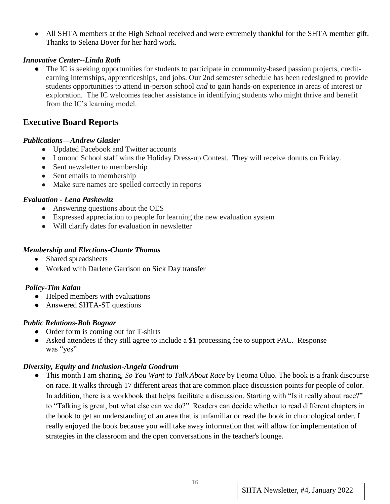• All SHTA members at the High School received and were extremely thankful for the SHTA member gift. Thanks to Selena Boyer for her hard work.

#### *Innovative Center--Linda Roth*

• The IC is seeking opportunities for students to participate in community-based passion projects, creditearning internships, apprenticeships, and jobs. Our 2nd semester schedule has been redesigned to provide students opportunities to attend in-person school *and* to gain hands-on experience in areas of interest or exploration. The IC welcomes teacher assistance in identifying students who might thrive and benefit from the IC's learning model.

# **Executive Board Reports**

#### *Publications—Andrew Glasier*

- Updated Facebook and Twitter accounts
- Lomond School staff wins the Holiday Dress-up Contest. They will receive donuts on Friday.
- Sent newsletter to membership
- Sent emails to membership
- Make sure names are spelled correctly in reports

#### *Evaluation - Lena Paskewitz*

- Answering questions about the OES
- Expressed appreciation to people for learning the new evaluation system
- Will clarify dates for evaluation in newsletter

#### *Membership and Elections-Chante Thomas*

- Shared spreadsheets
- Worked with Darlene Garrison on Sick Day transfer

#### *Policy-Tim Kalan*

- Helped members with evaluations
- Answered SHTA-ST questions

#### *Public Relations-Bob Bognar*

- Order form is coming out for T-shirts
- Asked attendees if they still agree to include a \$1 processing fee to support PAC. Response was "yes"

#### *Diversity, Equity and Inclusion-Angela Goodrum*

● This month I am sharing, *So You Want to Talk About Race* by Ijeoma Oluo. The book is a frank discourse on race. It walks through 17 different areas that are common place discussion points for people of color. In addition, there is a workbook that helps facilitate a discussion. Starting with "Is it really about race?" to "Talking is great, but what else can we do?" Readers can decide whether to read different chapters in the book to get an understanding of an area that is unfamiliar or read the book in chronological order. I really enjoyed the book because you will take away information that will allow for implementation of strategies in the classroom and the open conversations in the teacher's lounge.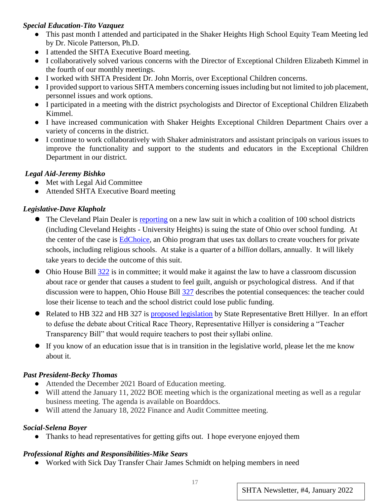#### *Special Education-Tito Vazquez*

- This past month I attended and participated in the Shaker Heights High School Equity Team Meeting led by Dr. Nicole Patterson, Ph.D.
- I attended the SHTA Executive Board meeting.
- I collaboratively solved various concerns with the Director of Exceptional Children Elizabeth Kimmel in the fourth of our monthly meetings.
- I worked with SHTA President Dr. John Morris, over Exceptional Children concerns.
- I provided support to various SHTA members concerning issues including but not limited to job placement, personnel issues and work options.
- I participated in a meeting with the district psychologists and Director of Exceptional Children Elizabeth Kimmel.
- I have increased communication with Shaker Heights Exceptional Children Department Chairs over a variety of concerns in the district.
- I continue to work collaboratively with Shaker administrators and assistant principals on various issues to improve the functionality and support to the students and educators in the Exceptional Children Department in our district.

#### *Legal Aid-Jeremy Bishko*

- Met with Legal Aid Committee
- Attended SHTA Executive Board meeting

# *Legislative-Dave Klapholz*

- The Cleveland Plain Dealer i[s](https://www.cleveland.com/news/2022/01/100-school-districts-sue-ohio-over-private-school-vouchers-saying-they-unconstitutionally-take-money-from-public-ed.html) [reporting](https://www.cleveland.com/news/2022/01/100-school-districts-sue-ohio-over-private-school-vouchers-saying-they-unconstitutionally-take-money-from-public-ed.html) on a new law suit in which a coalition of 100 school districts (including Cleveland Heights - University Heights) is suing the state of Ohio over school funding. At the center of the case is [EdChoice,](https://education.ohio.gov/Topics/Other-Resources/Scholarships/EdChoice-Scholarship-Program) an Ohio program that uses tax dollars to create vouchers for private schools, including religious schools. At stake is a quarter of a *billion* dollars, annually. It will likely take years to decide the outcome of this suit.
- Ohio House Bill [322](https://www.legislature.ohio.gov/legislation/legislation-summary?id=GA134-HB-322) is in committee; it would make it against the law to have a classroom discussion about race or gender that causes a student to feel guilt, anguish or psychological distress. And if that discussion were to happen, Ohio House Bil[l](https://www.legislature.ohio.gov/legislation/legislation-summary?id=GA134-HB-327) [327](https://www.legislature.ohio.gov/legislation/legislation-summary?id=GA134-HB-327) describes the potential consequences: the teacher could lose their license to teach and the school district could lose public funding.
- Related to HB 322 and HB 327 is [proposed legislation](https://www.dispatch.com/story/news/2022/01/03/ohio-republicans-want-teacher-curriculums-shared-online/9054152002/) by State Representative Brett Hillyer. In an effort to defuse the debate about Critical Race Theory, Representative Hillyer is considering a "Teacher Transparency Bill" that would require teachers to post their syllabi online.
- If you know of an education issue that is in transition in the legislative world, please let the me know about it.

# *Past President-Becky Thomas*

- Attended the December 2021 Board of Education meeting.
- Will attend the January 11, 2022 BOE meeting which is the organizational meeting as well as a regular business meeting. The agenda is available on Boarddocs.
- Will attend the January 18, 2022 Finance and Audit Committee meeting.

# *Social-Selena Boyer*

• Thanks to head representatives for getting gifts out. I hope everyone enjoyed them

# *Professional Rights and Responsibilities-Mike Sears*

● Worked with Sick Day Transfer Chair James Schmidt on helping members in need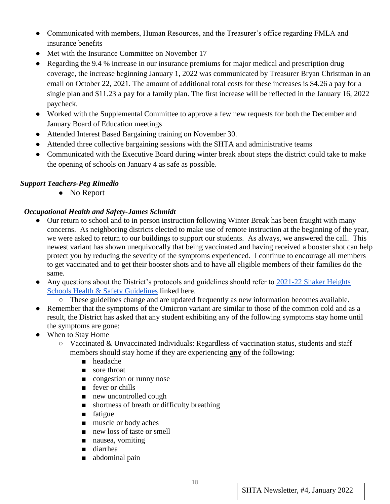- Communicated with members, Human Resources, and the Treasurer's office regarding FMLA and insurance benefits
- Met with the Insurance Committee on November 17
- Regarding the 9.4 % increase in our insurance premiums for major medical and prescription drug coverage, the increase beginning January 1, 2022 was communicated by Treasurer Bryan Christman in an email on October 22, 2021. The amount of additional total costs for these increases is \$4.26 a pay for a single plan and \$11.23 a pay for a family plan. The first increase will be reflected in the January 16, 2022 paycheck.
- Worked with the Supplemental Committee to approve a few new requests for both the December and January Board of Education meetings
- Attended Interest Based Bargaining training on November 30.
- Attended three collective bargaining sessions with the SHTA and administrative teams
- Communicated with the Executive Board during winter break about steps the district could take to make the opening of schools on January 4 as safe as possible.

#### *Support Teachers-Peg Rimedio*

• No Report

#### *Occupational Health and Safety-James Schmidt*

- Our return to school and to in person instruction following Winter Break has been fraught with many concerns. As neighboring districts elected to make use of remote instruction at the beginning of the year, we were asked to return to our buildings to support our students. As always, we answered the call. This newest variant has shown unequivocally that being vaccinated and having received a booster shot can help protect you by reducing the severity of the symptoms experienced. I continue to encourage all members to get vaccinated and to get their booster shots and to have all eligible members of their families do the same.
- Any questi[o](https://www.shaker.org/21-22Guidelines.aspx)ns about the District's protocols and guidelines should refer to 2021-22 Shaker Heights [Schools Health & Safety Guidelines](https://www.shaker.org/21-22Guidelines.aspx) linked here.
	- These guidelines change and are updated frequently as new information becomes available.
- Remember that the symptoms of the Omicron variant are similar to those of the common cold and as a result, the District has asked that any student exhibiting any of the following symptoms stay home until the symptoms are gone:
- When to Stay Home
	- Vaccinated & Unvaccinated Individuals: Regardless of vaccination status, students and staff members should stay home if they are experiencing **any** of the following:
		- headache
		- sore throat
		- congestion or runny nose
		- fever or chills
		- new uncontrolled cough
		- shortness of breath or difficulty breathing
		- fatigue
		- muscle or body aches
		- new loss of taste or smell
		- nausea, vomiting
		- diarrhea
		- abdominal pain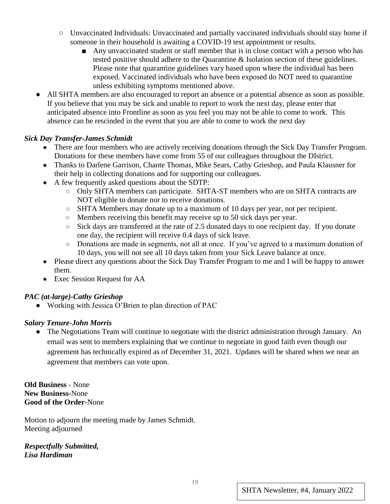- Unvaccinated Individuals: Unvaccinated and partially vaccinated individuals should stay home if someone in their household is awaiting a COVID-19 test appointment or results.
	- Any unvaccinated student or staff member that is in close contact with a person who has tested positive should adhere to the Quarantine & Isolation section of these guidelines. Please note that quarantine guidelines vary based upon where the individual has been exposed. Vaccinated individuals who have been exposed do NOT need to quarantine unless exhibiting symptoms mentioned above.
- All SHTA members are also encouraged to report an absence or a potential absence as soon as possible. If you believe that you may be sick and unable to report to work the next day, please enter that anticipated absence into Frontline as soon as you feel you may not be able to come to work. This absence can be rescinded in the event that you are able to come to work the next day

#### *Sick Day Transfer-James Schmidt*

- There are four members who are actively receiving donations through the Sick Day Transfer Program. Donations for these members have come from 55 of our colleagues throughout the DIstrict.
- Thanks to Darlene Garrison, Chante Thomas, Mike Sears, Cathy Grieshop, and Paula Klausner for their help in collecting donations and for supporting our colleagues.
- A few frequently asked questions about the SDTP:
	- Only SHTA members can participate. SHTA-ST members who are on SHTA contracts are NOT eligible to donate nor to receive donations.
	- SHTA Members may donate up to a maximum of 10 days per year, not per recipient.
	- Members receiving this benefit may receive up to 50 sick days per year.
	- $\circ$  Sick days are transferred at the rate of 2.5 donated days to one recipient day. If you donate one day, the recipient will receive 0.4 days of sick leave.
	- Donations are made in segments, not all at once. If you've agreed to a maximum donation of 10 days, you will not see all 10 days taken from your Sick Leave balance at once.
- Please direct any questions about the Sick Day Transfer Program to me and I will be happy to answer them.
- Exec Session Request for AA

#### *PAC (at-large)-Cathy Grieshop*

● Working with Jessica O'Brien to plan direction of PAC

#### *Salary Tenure-John Morris*

• The Negotiations Team will continue to negotiate with the district administration through January. An email was sent to members explaining that we continue to negotiate in good faith even though our agreement has technically expired as of December 31, 2021. Updates will be shared when we near an agreement that members can vote upon.

 **Old Business** - None **New Business-**None **Good of the Order-**None

Motion to adjourn the meeting made by James Schmidt. Meeting adjourned

*Respectfully Submitted, Lisa Hardiman*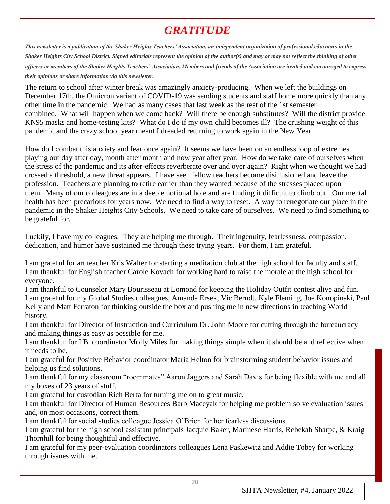# *GRATITUDE*

*This newsletter is a publication of the Shaker Heights Teachers' Association, an independent organization of professional educators in the Shaker Heights City School District. Signed editorials represent the opinion of the author(s) and may or may not reflect the thinking of other officers or members of the Shaker Heights Teachers' Association. Members and friends of the Association are invited and encouraged to express their opinions or share information via this newsletter.*

The return to school after winter break was amazingly anxiety-producing. When we left the buildings on December 17th, the Omicron variant of COVID-19 was sending students and staff home more quickly than any other time in the pandemic. We had as many cases that last week as the rest of the 1st semester combined. What will happen when we come back? Will there be enough substitutes? Will the district provide KN95 masks and home-testing kits? What do I do if my own child becomes ill? The crushing weight of this pandemic and the crazy school year meant I dreaded returning to work again in the New Year.

How do I combat this anxiety and fear once again? It seems we have been on an endless loop of extremes playing out day after day, month after month and now year after year. How do we take care of ourselves when the stress of the pandemic and its after-effects reverberate over and over again? Right when we thought we had crossed a threshold, a new threat appears. I have seen fellow teachers become disillusioned and leave the profession. Teachers are planning to retire earlier than they wanted because of the stresses placed upon them. Many of our colleagues are in a deep emotional hole and are finding it difficult to climb out. Our mental health has been precarious for years now. We need to find a way to reset. A way to renegotiate our place in the pandemic in the Shaker Heights City Schools. We need to take care of ourselves. We need to find something to be grateful for.

Luckily, I have my colleagues. They are helping me through. Their ingenuity, fearlessness, compassion, dedication, and humor have sustained me through these trying years. For them, I am grateful.

I am grateful for art teacher Kris Walter for starting a meditation club at the high school for faculty and staff. I am thankful for English teacher Carole Kovach for working hard to raise the morale at the high school for everyone.

I am thankful to Counselor Mary Bourisseau at Lomond for keeping the Holiday Outfit contest alive and fun. I am grateful for my Global Studies colleagues, Amanda Ersek, Vic Berndt, Kyle Fleming, Joe Konopinski, Paul Kelly and Matt Ferraton for thinking outside the box and pushing me in new directions in teaching World history.

I am thankful for Director of Instruction and Curriculum Dr. John Moore for cutting through the bureaucracy and making things as easy as possible for me.

I am thankful for I.B. coordinator Molly Miles for making things simple when it should be and reflective when it needs to be.

I am grateful for Positive Behavior coordinator Maria Helton for brainstorming student behavior issues and helping us find solutions.

I am thankful for my classroom "roommates" Aaron Jaggers and Sarah Davis for being flexible with me and all my boxes of 23 years of stuff.

I am grateful for custodian Rich Berta for turning me on to great music.

I am thankful for Director of Human Resources Barb Maceyak for helping me problem solve evaluation issues and, on most occasions, correct them.

I am thankful for social studies colleague Jessica O'Brien for her fearless discussions.

I am grateful for the high school assistant principals Jacquie Baker, Marinese Harris, Rebekah Sharpe, & Kraig Thornhill for being thoughtful and effective.

I am grateful for my peer-evaluation coordinators colleagues Lena Paskewitz and Addie Tobey for working through issues with me.